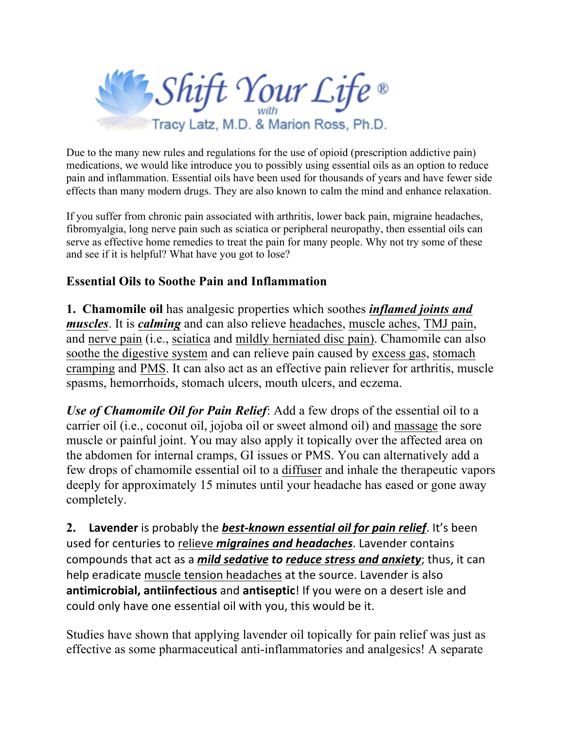

Due to the many new rules and regulations for the use of opioid (prescription addictive pain) medications, we would like introduce you to possibly using essential oils as an option to reduce pain and inflammation. Essential oils have been used for thousands of years and have fewer side effects than many modern drugs. They are also known to calm the mind and enhance relaxation.

If you suffer from chronic pain associated with arthritis, lower back pain, migraine headaches, fibromyalgia, long nerve pain such as sciatica or peripheral neuropathy, then essential oils can serve as effective home remedies to treat the pain for many people. Why not try some of these and see if it is helpful? What have you got to lose?

## **Essential Oils to Soothe Pain and Inflammation**

**1. Chamomile oil** has analgesic properties which soothes *inflamed joints and muscles*. It is *calming* and can also relieve headaches, muscle aches, TMJ pain, and nerve pain (i.e., sciatica and mildly herniated disc pain). Chamomile can also soothe the digestive system and can relieve pain caused by excess gas, stomach cramping and PMS. It can also act as an effective pain reliever for arthritis, muscle spasms, hemorrhoids, stomach ulcers, mouth ulcers, and eczema.

*Use of Chamomile Oil for Pain Relief*: Add a few drops of the essential oil to a carrier oil (i.e., coconut oil, jojoba oil or sweet almond oil) and massage the sore muscle or painful joint. You may also apply it topically over the affected area on the abdomen for internal cramps, GI issues or PMS. You can alternatively add a few drops of chamomile essential oil to a diffuser and inhale the therapeutic vapors deeply for approximately 15 minutes until your headache has eased or gone away completely.

**2.** Lavender is probably the **best-known essential oil for pain relief**. It's been used for centuries to relieve *migraines and headaches*. Lavender contains compounds that act as a *mild sedative to reduce stress and anxiety*; thus, it can help eradicate muscle tension headaches at the source. Lavender is also antimicrobial, antiinfectious and antiseptic! If you were on a desert isle and could only have one essential oil with you, this would be it.

Studies have shown that applying lavender oil topically for pain relief was just as effective as some pharmaceutical anti-inflammatories and analgesics! A separate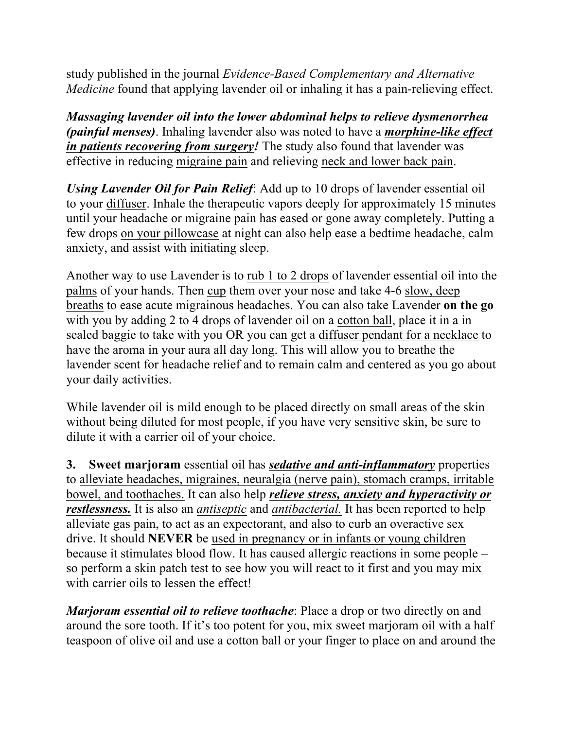study published in the journal *Evidence-Based Complementary and Alternative Medicine* found that applying lavender oil or inhaling it has a pain-relieving effect.

*Massaging lavender oil into the lower abdominal helps to relieve dysmenorrhea (painful menses)*. Inhaling lavender also was noted to have a *morphine-like effect in patients recovering from surgery!* The study also found that lavender was effective in reducing migraine pain and relieving neck and lower back pain.

*Using Lavender Oil for Pain Relief*: Add up to 10 drops of lavender essential oil to your diffuser. Inhale the therapeutic vapors deeply for approximately 15 minutes until your headache or migraine pain has eased or gone away completely. Putting a few drops on your pillowcase at night can also help ease a bedtime headache, calm anxiety, and assist with initiating sleep.

Another way to use Lavender is to rub 1 to 2 drops of lavender essential oil into the palms of your hands. Then cup them over your nose and take 4-6 slow, deep breaths to ease acute migrainous headaches. You can also take Lavender **on the go** with you by adding 2 to 4 drops of lavender oil on a cotton ball, place it in a in sealed baggie to take with you OR you can get a diffuser pendant for a necklace to have the aroma in your aura all day long. This will allow you to breathe the lavender scent for headache relief and to remain calm and centered as you go about your daily activities.

While lavender oil is mild enough to be placed directly on small areas of the skin without being diluted for most people, if you have very sensitive skin, be sure to dilute it with a carrier oil of your choice.

**3. Sweet marjoram** essential oil has *sedative and anti-inflammatory* properties to alleviate headaches, migraines, neuralgia (nerve pain), stomach cramps, irritable bowel, and toothaches. It can also help *relieve stress, anxiety and hyperactivity or restlessness.* It is also an *antiseptic* and *antibacterial.* It has been reported to help alleviate gas pain, to act as an expectorant, and also to curb an overactive sex drive. It should **NEVER** be used in pregnancy or in infants or young children because it stimulates blood flow. It has caused allergic reactions in some people – so perform a skin patch test to see how you will react to it first and you may mix with carrier oils to lessen the effect!

*Marjoram essential oil to relieve toothache*: Place a drop or two directly on and around the sore tooth. If it's too potent for you, mix sweet marjoram oil with a half teaspoon of olive oil and use a cotton ball or your finger to place on and around the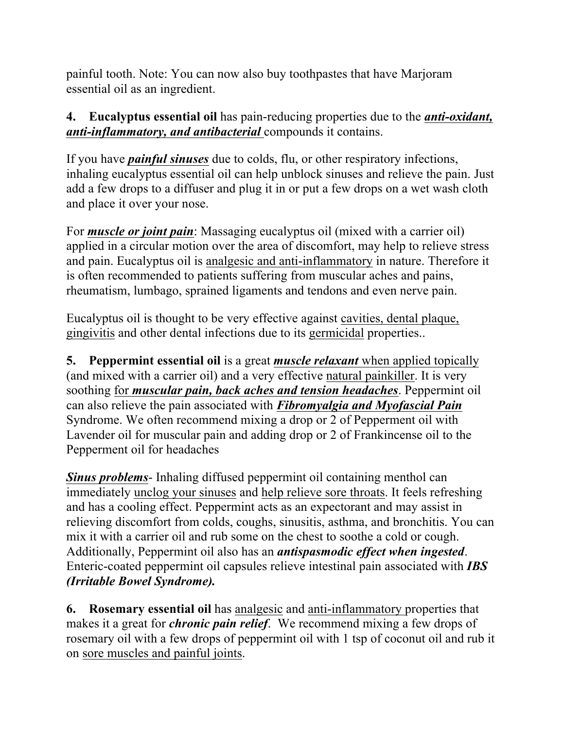painful tooth. Note: You can now also buy toothpastes that have Marjoram essential oil as an ingredient.

## **4. Eucalyptus essential oil** has pain-reducing properties due to the *anti-oxidant, anti-inflammatory, and antibacterial* compounds it contains.

If you have *painful sinuses* due to colds, flu, or other respiratory infections, inhaling eucalyptus essential oil can help unblock sinuses and relieve the pain. Just add a few drops to a diffuser and plug it in or put a few drops on a wet wash cloth and place it over your nose.

For *muscle or joint pain*: Massaging eucalyptus oil (mixed with a carrier oil) applied in a circular motion over the area of discomfort, may help to relieve stress and pain. Eucalyptus oil is analgesic and anti-inflammatory in nature. Therefore it is often recommended to patients suffering from muscular aches and pains, rheumatism, lumbago, sprained ligaments and tendons and even nerve pain.

Eucalyptus oil is thought to be very effective against cavities, dental plaque, gingivitis and other dental infections due to its germicidal properties..

**5. Peppermint essential oil** is a great *muscle relaxant* when applied topically (and mixed with a carrier oil) and a very effective natural painkiller. It is very soothing for *muscular pain, back aches and tension headaches*. Peppermint oil can also relieve the pain associated with *Fibromyalgia and Myofascial Pain* Syndrome. We often recommend mixing a drop or 2 of Pepperment oil with Lavender oil for muscular pain and adding drop or 2 of Frankincense oil to the Pepperment oil for headaches

*Sinus problems*- Inhaling diffused peppermint oil containing menthol can immediately unclog your sinuses and help relieve sore throats. It feels refreshing and has a cooling effect. Peppermint acts as an expectorant and may assist in relieving discomfort from colds, coughs, sinusitis, asthma, and bronchitis. You can mix it with a carrier oil and rub some on the chest to soothe a cold or cough. Additionally, Peppermint oil also has an *antispasmodic effect when ingested*. Enteric-coated peppermint oil capsules relieve intestinal pain associated with *IBS (Irritable Bowel Syndrome).* 

**6. Rosemary essential oil** has analgesic and anti-inflammatory properties that makes it a great for *chronic pain relief*. We recommend mixing a few drops of rosemary oil with a few drops of peppermint oil with 1 tsp of coconut oil and rub it on sore muscles and painful joints.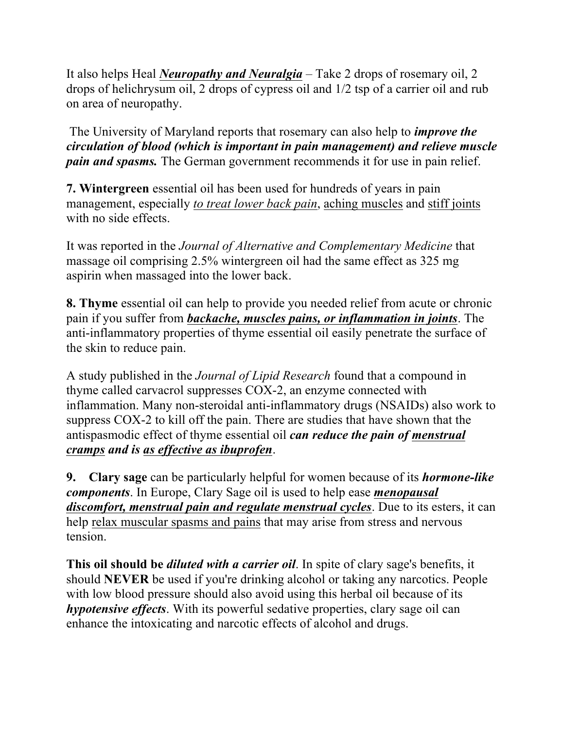It also helps Heal *Neuropathy and Neuralgia* – Take 2 drops of rosemary oil, 2 drops of helichrysum oil, 2 drops of cypress oil and 1/2 tsp of a carrier oil and rub on area of neuropathy.

The University of Maryland reports that rosemary can also help to *improve the circulation of blood (which is important in pain management) and relieve muscle pain and spasms.* The German government recommends it for use in pain relief.

**7. Wintergreen** essential oil has been used for hundreds of years in pain management, especially *to treat lower back pain*, aching muscles and stiff joints with no side effects.

It was reported in the *Journal of Alternative and Complementary Medicine* that massage oil comprising 2.5% wintergreen oil had the same effect as 325 mg aspirin when massaged into the lower back.

**8. Thyme** essential oil can help to provide you needed relief from acute or chronic pain if you suffer from *backache, muscles pains, or inflammation in joints*. The anti-inflammatory properties of thyme essential oil easily penetrate the surface of the skin to reduce pain.

A study published in the *Journal of Lipid Research* found that a compound in thyme called carvacrol suppresses COX-2, an enzyme connected with inflammation. Many non-steroidal anti-inflammatory drugs (NSAIDs) also work to suppress COX-2 to kill off the pain. There are studies that have shown that the antispasmodic effect of thyme essential oil *can reduce the pain of menstrual cramps and is as effective as ibuprofen*.

**9. Clary sage** can be particularly helpful for women because of its *hormone-like components*. In Europe, Clary Sage oil is used to help ease *menopausal discomfort, menstrual pain and regulate menstrual cycles*. Due to its esters, it can help relax muscular spasms and pains that may arise from stress and nervous tension.

**This oil should be** *diluted with a carrier oil*. In spite of clary sage's benefits, it should **NEVER** be used if you're drinking alcohol or taking any narcotics. People with low blood pressure should also avoid using this herbal oil because of its *hypotensive effects*. With its powerful sedative properties, clary sage oil can enhance the intoxicating and narcotic effects of alcohol and drugs.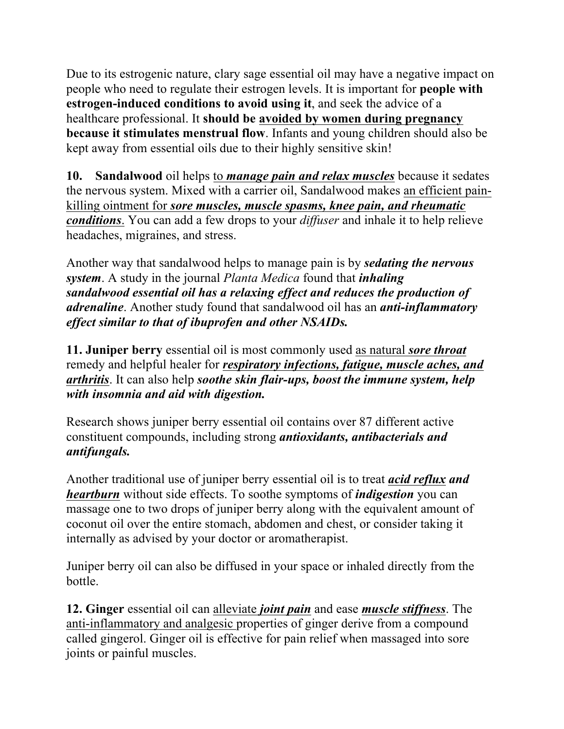Due to its estrogenic nature, clary sage essential oil may have a negative impact on people who need to regulate their estrogen levels. It is important for **people with estrogen-induced conditions to avoid using it**, and seek the advice of a healthcare professional. It **should be avoided by women during pregnancy because it stimulates menstrual flow**. Infants and young children should also be kept away from essential oils due to their highly sensitive skin!

**10. Sandalwood** oil helps to *manage pain and relax muscles* because it sedates the nervous system. Mixed with a carrier oil, Sandalwood makes an efficient painkilling ointment for *sore muscles, muscle spasms, knee pain, and rheumatic conditions*. You can add a few drops to your *diffuser* and inhale it to help relieve headaches, migraines, and stress.

Another way that sandalwood helps to manage pain is by *sedating the nervous system*. A study in the journal *Planta Medica* found that *inhaling sandalwood essential oil has a relaxing effect and reduces the production of adrenaline*. Another study found that sandalwood oil has an *anti-inflammatory effect similar to that of ibuprofen and other NSAIDs.*

**11. Juniper berry** essential oil is most commonly used as natural *sore throat* remedy and helpful healer for *respiratory infections, fatigue, muscle aches, and arthritis*. It can also help *soothe skin flair-ups, boost the immune system, help with insomnia and aid with digestion.*

Research shows juniper berry essential oil contains over 87 different active constituent compounds, including strong *antioxidants, antibacterials and antifungals.* 

Another traditional use of juniper berry essential oil is to treat *acid reflux and heartburn* without side effects. To soothe symptoms of *indigestion* you can massage one to two drops of juniper berry along with the equivalent amount of coconut oil over the entire stomach, abdomen and chest, or consider taking it internally as advised by your doctor or aromatherapist.

Juniper berry oil can also be diffused in your space or inhaled directly from the bottle.

**12. Ginger** essential oil can alleviate *joint pain* and ease *muscle stiffness*. The anti-inflammatory and analgesic properties of ginger derive from a compound called gingerol. Ginger oil is effective for pain relief when massaged into sore joints or painful muscles.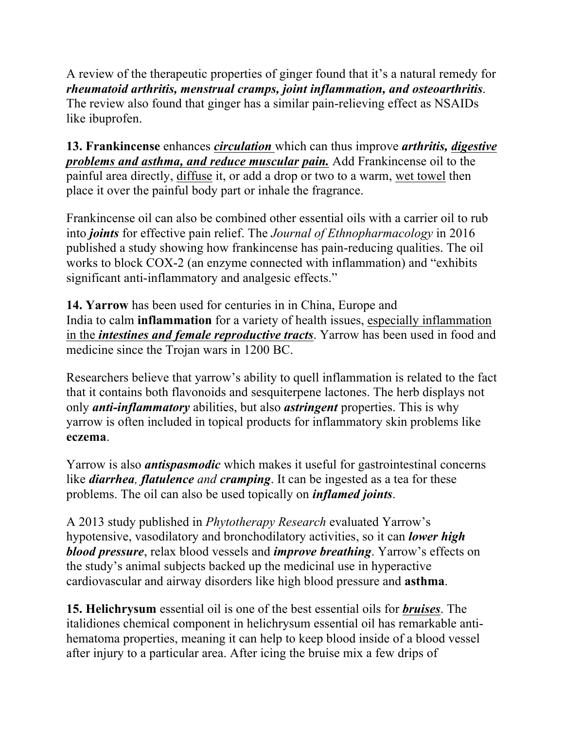A review of the therapeutic properties of ginger found that it's a natural remedy for *rheumatoid arthritis, menstrual cramps, joint inflammation, and osteoarthritis*. The review also found that ginger has a similar pain-relieving effect as NSAIDs like ibuprofen.

**13. Frankincense** enhances *circulation* which can thus improve *arthritis, digestive problems and asthma, and reduce muscular pain.* Add Frankincense oil to the painful area directly, diffuse it, or add a drop or two to a warm, wet towel then place it over the painful body part or inhale the fragrance.

Frankincense oil can also be combined other essential oils with a carrier oil to rub into *joints* for effective pain relief. The *Journal of Ethnopharmacology* in 2016 published a study showing how frankincense has pain-reducing qualities. The oil works to block COX-2 (an enzyme connected with inflammation) and "exhibits significant anti-inflammatory and analgesic effects."

**14. Yarrow** has been used for centuries in in China, Europe and India to calm **inflammation** for a variety of health issues, especially inflammation in the *intestines and female reproductive tracts*. Yarrow has been used in food and medicine since the Trojan wars in 1200 BC.

Researchers believe that yarrow's ability to quell inflammation is related to the fact that it contains both flavonoids and sesquiterpene lactones. The herb displays not only *anti-inflammatory* abilities, but also *astringent* properties. This is why yarrow is often included in topical products for inflammatory skin problems like **eczema**.

Yarrow is also *antispasmodic* which makes it useful for gastrointestinal concerns like *diarrhea, flatulence and cramping*. It can be ingested as a tea for these problems. The oil can also be used topically on *inflamed joints*.

A 2013 study published in *Phytotherapy Research* evaluated Yarrow's hypotensive, vasodilatory and bronchodilatory activities, so it can *lower high blood pressure*, relax blood vessels and *improve breathing*. Yarrow's effects on the study's animal subjects backed up the medicinal use in hyperactive cardiovascular and airway disorders like high blood pressure and **asthma**.

**15. Helichrysum** essential oil is one of the best essential oils for *bruises*. The italidiones chemical component in helichrysum essential oil has remarkable antihematoma properties, meaning it can help to keep blood inside of a blood vessel after injury to a particular area. After icing the bruise mix a few drips of